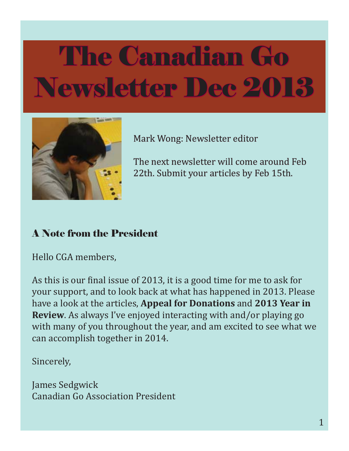

Mark Wong: Newsletter editor

The next newsletter will come around Feb 22th. Submit your articles by Feb 15th.

### A Note from the President

Hello CGA members,

As this is our final issue of 2013, it is a good time for me to ask for your support, and to look back at what has happened in 2013. Please have a look at the articles, **Appeal for Donations** and **2013 Year in Review**. As always I've enjoyed interacting with and/or playing go with many of you throughout the year, and am excited to see what we can accomplish together in 2014.

Sincerely,

James Sedgwick Canadian Go Association President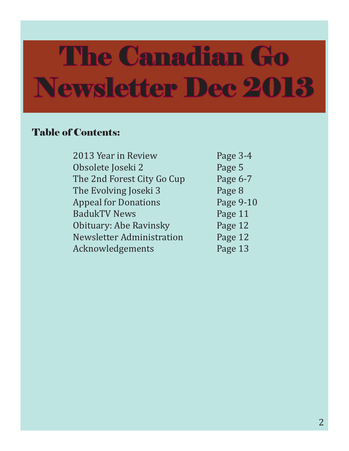#### Table of Contents:

| 2013 Year in Review              | Page 3-4  |
|----------------------------------|-----------|
| Obsolete Joseki 2                | Page 5    |
| The 2nd Forest City Go Cup       | Page 6-7  |
| The Evolving Joseki 3            | Page 8    |
| <b>Appeal for Donations</b>      | Page 9-10 |
| <b>BadukTV News</b>              | Page 11   |
| Obituary: Abe Ravinsky           | Page 12   |
| <b>Newsletter Administration</b> | Page 12   |
| Acknowledgements                 | Page 13   |
|                                  |           |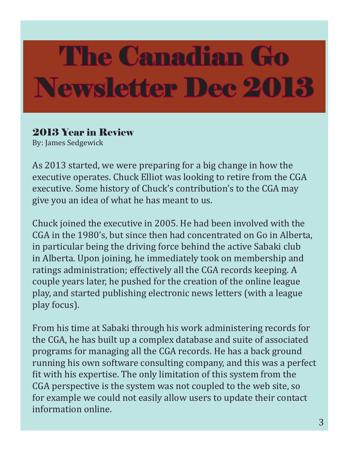### 2013 Year in Review

By: James Sedgewick

As 2013 started, we were preparing for a big change in how the executive operates. Chuck Elliot was looking to retire from the CGA executive. Some history of Chuck's contribution's to the CGA may give you an idea of what he has meant to us.

Chuck joined the executive in 2005. He had been involved with the CGA in the 1980's, but since then had concentrated on Go in Alberta, in particular being the driving force behind the active Sabaki club in Alberta. Upon joining, he immediately took on membership and ratings administration; effectively all the CGA records keeping. A couple years later, he pushed for the creation of the online league play, and started publishing electronic news letters (with a league play focus).

From his time at Sabaki through his work administering records for the CGA, he has built up a complex database and suite of associated programs for managing all the CGA records. He has a back ground running his own software consulting company, and this was a perfect fit with his expertise. The only limitation of this system from the CGA perspective is the system was not coupled to the web site, so for example we could not easily allow users to update their contact information online.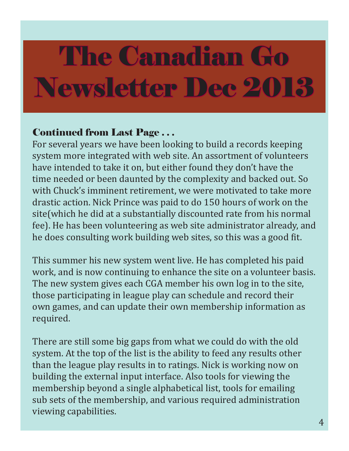### Continued from Last Page . . .

For several years we have been looking to build a records keeping system more integrated with web site. An assortment of volunteers have intended to take it on, but either found they don't have the time needed or been daunted by the complexity and backed out. So with Chuck's imminent retirement, we were motivated to take more drastic action. Nick Prince was paid to do 150 hours of work on the site(which he did at a substantially discounted rate from his normal fee). He has been volunteering as web site administrator already, and he does consulting work building web sites, so this was a good fit.

This summer his new system went live. He has completed his paid work, and is now continuing to enhance the site on a volunteer basis. The new system gives each CGA member his own log in to the site, those participating in league play can schedule and record their own games, and can update their own membership information as required.

There are still some big gaps from what we could do with the old system. At the top of the list is the ability to feed any results other than the league play results in to ratings. Nick is working now on building the external input interface. Also tools for viewing the membership beyond a single alphabetical list, tools for emailing sub sets of the membership, and various required administration viewing capabilities.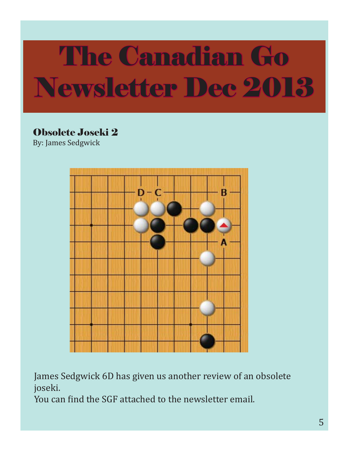### Obsolete Joseki 2

By: James Sedgwick



James Sedgwick 6D has given us another review of an obsolete joseki.

You can find the SGF attached to the newsletter email.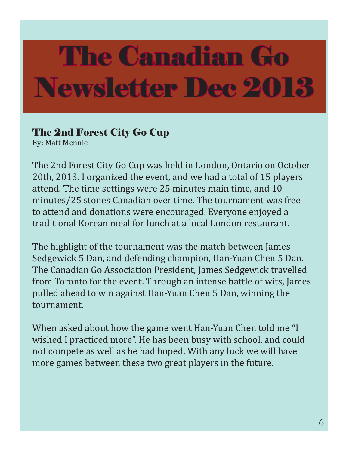### The 2nd Forest City Go Cup

By: Matt Mennie

The 2nd Forest City Go Cup was held in London, Ontario on October 20th, 2013. I organized the event, and we had a total of 15 players attend. The time settings were 25 minutes main time, and 10 minutes/25 stones Canadian over time. The tournament was free to attend and donations were encouraged. Everyone enjoyed a traditional Korean meal for lunch at a local London restaurant.

The highlight of the tournament was the match between James Sedgewick 5 Dan, and defending champion, Han-Yuan Chen 5 Dan. The Canadian Go Association President, James Sedgewick travelled from Toronto for the event. Through an intense battle of wits, James pulled ahead to win against Han-Yuan Chen 5 Dan, winning the tournament.

When asked about how the game went Han-Yuan Chen told me "I wished I practiced more". He has been busy with school, and could not compete as well as he had hoped. With any luck we will have more games between these two great players in the future.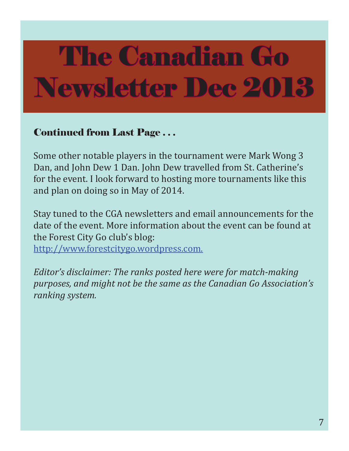### Continued from Last Page . . .

Some other notable players in the tournament were Mark Wong 3 Dan, and John Dew 1 Dan. John Dew travelled from St. Catherine's for the event. I look forward to hosting more tournaments like this and plan on doing so in May of 2014.

Stay tuned to the CGA newsletters and email announcements for the date of the event. More information about the event can be found at the Forest City Go club's blog:

http://www.forestcitygo.wordpress.com.

*Editor's disclaimer: The ranks posted here were for match-making purposes, and might not be the same as the Canadian Go Association's ranking system.*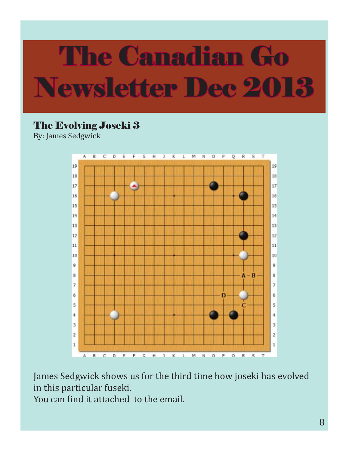## The Evolving Joseki 3

By: James Sedgwick



James Sedgwick shows us for the third time how joseki has evolved in this particular fuseki.

You can find it attached to the email.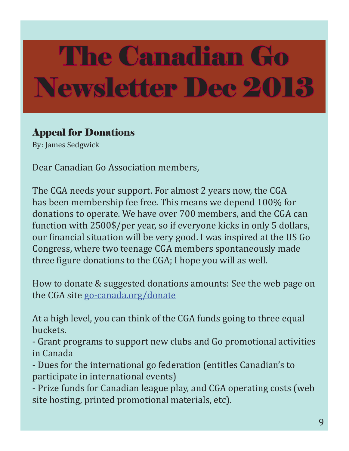### Appeal for Donations

By: James Sedgwick

Dear Canadian Go Association members,

The CGA needs your support. For almost 2 years now, the CGA has been membership fee free. This means we depend 100% for donations to operate. We have over 700 members, and the CGA can function with 2500\$/per year, so if everyone kicks in only 5 dollars, our financial situation will be very good. I was inspired at the US Go Congress, where two teenage CGA members spontaneously made three figure donations to the CGA; I hope you will as well.

How to donate & suggested donations amounts: See the web page on the CGA site go-canada.org/donate

At a high level, you can think of the CGA funds going to three equal buckets.

- Grant programs to support new clubs and Go promotional activities in Canada

- Dues for the international go federation (entitles Canadian's to participate in international events)

- Prize funds for Canadian league play, and CGA operating costs (web site hosting, printed promotional materials, etc).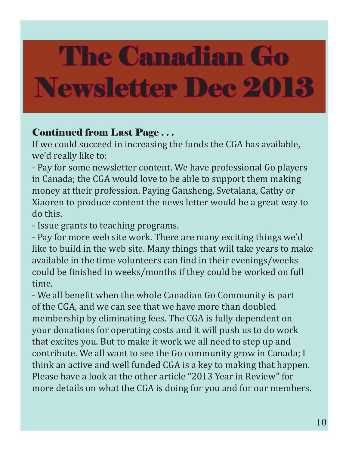### Continued from Last Page . . .

If we could succeed in increasing the funds the CGA has available, we'd really like to:

- Pay for some newsletter content. We have professional Go players in Canada; the CGA would love to be able to support them making money at their profession. Paying Gansheng, Svetalana, Cathy or Xiaoren to produce content the news letter would be a great way to do this.

- Issue grants to teaching programs.

- Pay for more web site work. There are many exciting things we'd like to build in the web site. Many things that will take years to make available in the time volunteers can find in their evenings/weeks could be finished in weeks/months if they could be worked on full time.

- We all benefit when the whole Canadian Go Community is part of the CGA, and we can see that we have more than doubled membership by eliminating fees. The CGA is fully dependent on your donations for operating costs and it will push us to do work that excites you. But to make it work we all need to step up and contribute. We all want to see the Go community grow in Canada; I think an active and well funded CGA is a key to making that happen. Please have a look at the other article "2013 Year in Review" for more details on what the CGA is doing for you and for our members.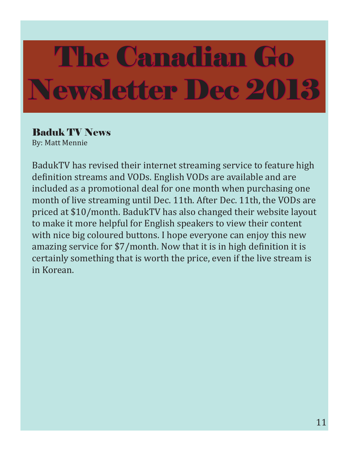## Baduk TV News

By: Matt Mennie

BadukTV has revised their internet streaming service to feature high definition streams and VODs. English VODs are available and are included as a promotional deal for one month when purchasing one month of live streaming until Dec. 11th. After Dec. 11th, the VODs are priced at \$10/month. BadukTV has also changed their website layout to make it more helpful for English speakers to view their content with nice big coloured buttons. I hope everyone can enjoy this new amazing service for \$7/month. Now that it is in high definition it is certainly something that is worth the price, even if the live stream is in Korean.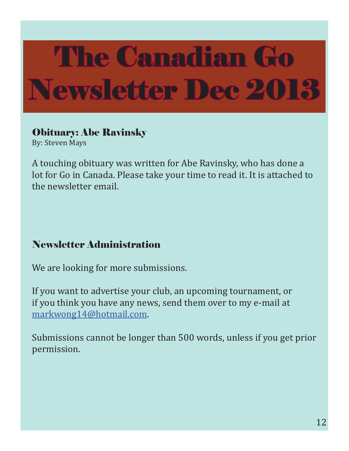### Obituary: Abe Ravinsky

By: Steven Mays

A touching obituary was written for Abe Ravinsky, who has done a lot for Go in Canada. Please take your time to read it. It is attached to the newsletter email.

## Newsletter Administration

We are looking for more submissions.

If you want to advertise your club, an upcoming tournament, or if you think you have any news, send them over to my e-mail at markwong14@hotmail.com.

Submissions cannot be longer than 500 words, unless if you get prior permission.